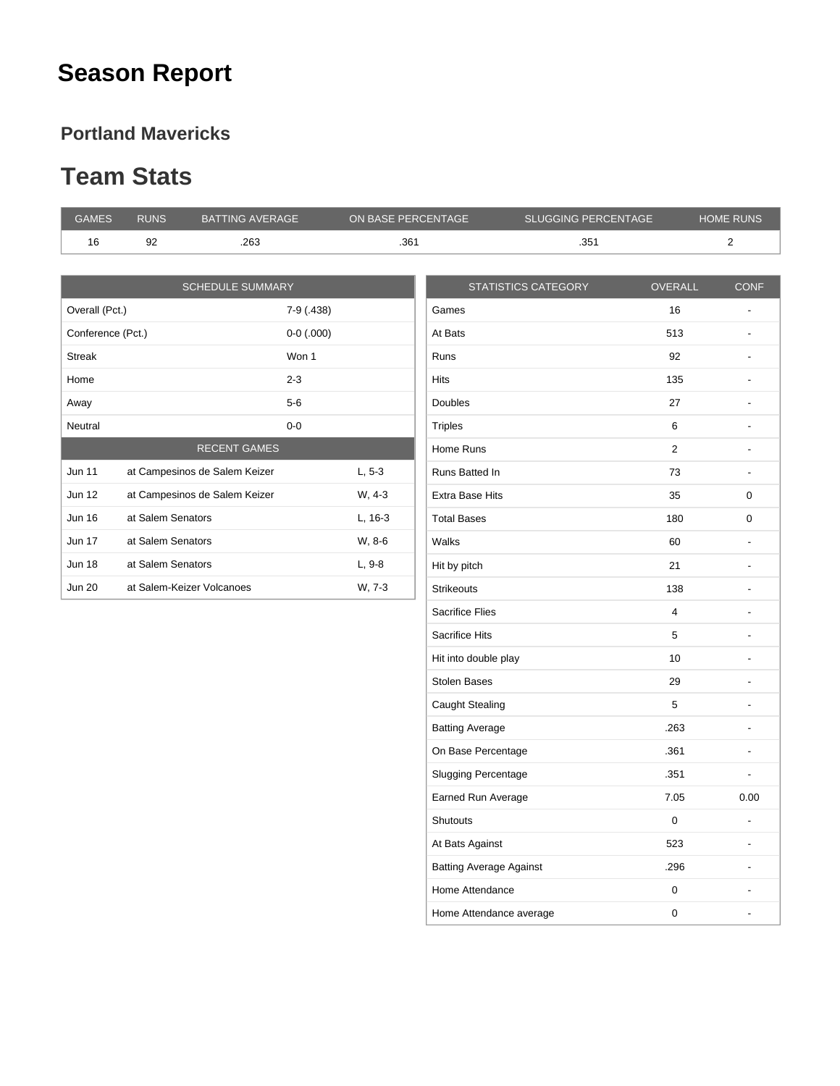## **Season Report**

#### **Portland Mavericks**

#### **Team Stats**

| <b>GAMES</b>      | <b>RUNS</b>       | <b>BATTING AVERAGE</b>        | ON BASE PERCENTAGE |                        | <b>SLUGGING PERCENTAGE</b> |                | <b>HOME RUNS</b>         |
|-------------------|-------------------|-------------------------------|--------------------|------------------------|----------------------------|----------------|--------------------------|
| 16                | 92                | .263                          | .361               |                        | .351                       |                | $\overline{2}$           |
|                   |                   |                               |                    |                        |                            |                |                          |
|                   |                   | <b>SCHEDULE SUMMARY</b>       |                    |                        | <b>STATISTICS CATEGORY</b> | <b>OVERALL</b> | <b>CONF</b>              |
| Overall (Pct.)    |                   |                               | 7-9 (.438)         | Games                  |                            | 16             |                          |
| Conference (Pct.) |                   |                               | $0-0$ (.000)       | At Bats                |                            | 513            | $\overline{\phantom{a}}$ |
| <b>Streak</b>     |                   | Won 1                         |                    | <b>Runs</b>            |                            | 92             | $\overline{\phantom{a}}$ |
| Home              |                   | $2 - 3$                       |                    | <b>Hits</b>            |                            | 135            | $\overline{\phantom{a}}$ |
| Away              |                   | $5-6$                         |                    | <b>Doubles</b>         |                            | 27             | $\overline{\phantom{a}}$ |
| Neutral           |                   | $0-0$                         |                    | <b>Triples</b>         |                            | 6              | $\overline{\phantom{a}}$ |
|                   |                   | <b>RECENT GAMES</b>           |                    | Home Runs              |                            | $\overline{2}$ | $\overline{\phantom{a}}$ |
| <b>Jun 11</b>     |                   | at Campesinos de Salem Keizer | $L, 5-3$           | Runs Batted In         |                            | 73             | $\overline{\phantom{a}}$ |
| <b>Jun 12</b>     |                   | at Campesinos de Salem Keizer | W, 4-3             | <b>Extra Base Hits</b> |                            | 35             | 0                        |
| <b>Jun 16</b>     | at Salem Senators |                               | $L, 16-3$          | <b>Total Bases</b>     |                            | 180            | 0                        |
| <b>Jun 17</b>     | at Salem Senators |                               | W, 8-6             | Walks                  |                            | 60             | $\overline{\phantom{a}}$ |
| <b>Jun 18</b>     | at Salem Senators |                               | L, 9-8             | Hit by pitch           |                            | 21             | $\overline{\phantom{a}}$ |
| <b>Jun 20</b>     |                   | at Salem-Keizer Volcanoes     | W, 7-3             | <b>Strikeouts</b>      |                            | 138            | $\overline{\phantom{a}}$ |
|                   |                   |                               |                    | <b>Sacrifice Flies</b> |                            | $\overline{4}$ | $\overline{\phantom{a}}$ |
|                   |                   |                               |                    |                        |                            |                |                          |

| <b>Hits</b>                    | 135  |      |
|--------------------------------|------|------|
| <b>Doubles</b>                 | 27   |      |
| <b>Triples</b>                 | 6    |      |
| Home Runs                      | 2    |      |
| Runs Batted In                 | 73   |      |
| <b>Extra Base Hits</b>         | 35   | 0    |
| <b>Total Bases</b>             | 180  | 0    |
| Walks                          | 60   |      |
| Hit by pitch                   | 21   |      |
| <b>Strikeouts</b>              | 138  |      |
| <b>Sacrifice Flies</b>         | 4    |      |
| <b>Sacrifice Hits</b>          | 5    |      |
| Hit into double play           | 10   |      |
| <b>Stolen Bases</b>            | 29   |      |
| Caught Stealing                | 5    |      |
| <b>Batting Average</b>         | .263 |      |
| On Base Percentage             | .361 |      |
| <b>Slugging Percentage</b>     | .351 |      |
| Earned Run Average             | 7.05 | 0.00 |
| <b>Shutouts</b>                | 0    |      |
| At Bats Against                | 523  |      |
| <b>Batting Average Against</b> | .296 |      |
| Home Attendance                | 0    |      |
| Home Attendance average        | 0    |      |
|                                |      |      |

the control of the control of the control of the control of the control of the control of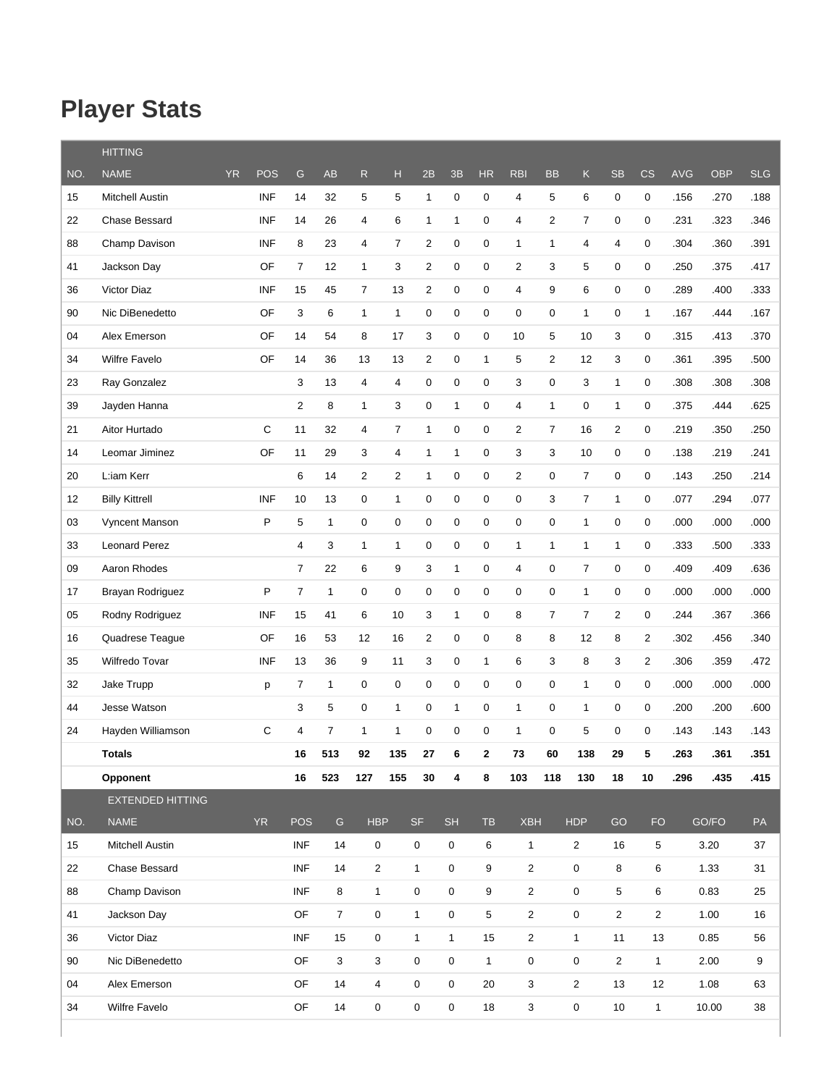## **Player Stats**

|     | <b>HITTING</b>          |           |            |                |                |                         |                |                  |              |              |                     |                  |                |                     |                |            |            |            |
|-----|-------------------------|-----------|------------|----------------|----------------|-------------------------|----------------|------------------|--------------|--------------|---------------------|------------------|----------------|---------------------|----------------|------------|------------|------------|
| NO. | <b>NAME</b>             | <b>YR</b> | <b>POS</b> | ${\mathsf G}$  | <b>AB</b>      | $\mathsf{R}$            | H              | 2B               | 3B           | HR           | <b>RBI</b>          | <b>BB</b>        | $\mathsf K$    | <b>SB</b>           | CS             | <b>AVG</b> | <b>OBP</b> | <b>SLG</b> |
| 15  | Mitchell Austin         |           | <b>INF</b> | 14             | 32             | 5                       | 5              | $\mathbf{1}$     | 0            | 0            | 4                   | 5                | 6              | 0                   | 0              | .156       | .270       | .188       |
| 22  | Chase Bessard           |           | <b>INF</b> | 14             | 26             | 4                       | 6              | $\mathbf{1}$     | $\mathbf{1}$ | 0            | 4                   | $\overline{2}$   | $\overline{7}$ | $\mathsf{O}\xspace$ | 0              | .231       | .323       | .346       |
| 88  | Champ Davison           |           | <b>INF</b> | 8              | 23             | $\overline{\mathbf{4}}$ | $\overline{7}$ | 2                | $\mathsf 0$  | 0            | $\mathbf{1}$        | $\mathbf{1}$     | 4              | 4                   | 0              | .304       | .360       | .391       |
| 41  | Jackson Day             |           | OF         | $\overline{7}$ | 12             | $\mathbf{1}$            | 3              | 2                | 0            | 0            | $\overline{2}$      | 3                | 5              | 0                   | 0              | .250       | .375       | .417       |
| 36  | Victor Diaz             |           | <b>INF</b> | 15             | 45             | $\overline{7}$          | 13             | 2                | 0            | 0            | $\overline{4}$      | 9                | 6              | 0                   | 0              | .289       | .400       | .333       |
| 90  | Nic DiBenedetto         |           | OF         | 3              | 6              | $\mathbf{1}$            | $\mathbf{1}$   | $\boldsymbol{0}$ | $\mathbf 0$  | 0            | 0                   | $\mathbf 0$      | $\mathbf{1}$   | 0                   | $\mathbf{1}$   | .167       | .444       | .167       |
| 04  | Alex Emerson            |           | OF         | 14             | 54             | 8                       | 17             | 3                | $\mathbf 0$  | 0            | 10                  | 5                | 10             | 3                   | 0              | .315       | .413       | .370       |
| 34  | <b>Wilfre Favelo</b>    |           | OF         | 14             | 36             | 13                      | 13             | $\overline{2}$   | 0            | $\mathbf{1}$ | 5                   | 2                | 12             | 3                   | 0              | .361       | .395       | .500       |
| 23  | Ray Gonzalez            |           |            | 3              | 13             | 4                       | 4              | 0                | 0            | 0            | 3                   | 0                | 3              | $\mathbf{1}$        | 0              | .308       | .308       | .308       |
| 39  | Jayden Hanna            |           |            | $\overline{2}$ | 8              | $\mathbf{1}$            | 3              | 0                | $\mathbf{1}$ | 0            | $\overline{4}$      | $\mathbf{1}$     | 0              | 1                   | 0              | .375       | .444       | .625       |
| 21  | Aitor Hurtado           |           | C          | 11             | 32             | 4                       | $\overline{7}$ | $\mathbf{1}$     | 0            | 0            | $\overline{c}$      | $\overline{7}$   | 16             | $\overline{2}$      | 0              | .219       | .350       | .250       |
| 14  | Leomar Jiminez          |           | OF         | 11             | 29             | 3                       | $\overline{4}$ | $\mathbf{1}$     | $\mathbf{1}$ | 0            | 3                   | 3                | 10             | 0                   | 0              | .138       | .219       | .241       |
| 20  | L:iam Kerr              |           |            | 6              | 14             | $\overline{c}$          | 2              | $\mathbf{1}$     | $\mathbf 0$  | 0            | $\overline{c}$      | 0                | $\overline{7}$ | $\mathsf{O}\xspace$ | 0              | .143       | .250       | .214       |
| 12  | <b>Billy Kittrell</b>   |           | <b>INF</b> | 10             | 13             | 0                       | $\mathbf{1}$   | 0                | $\mathsf 0$  | 0            | 0                   | 3                | $\overline{7}$ | $\mathbf{1}$        | 0              | .077       | .294       | .077       |
| 03  | Vyncent Manson          |           | P          | 5              | $\mathbf{1}$   | $\mathbf 0$             | $\mathbf 0$    | 0                | $\mathbf 0$  | 0            | $\mathbf 0$         | $\mathbf 0$      | $\mathbf{1}$   | 0                   | 0              | .000       | .000       | .000       |
| 33  | <b>Leonard Perez</b>    |           |            | 4              | 3              | 1                       | 1              | 0                | $\mathbf 0$  | 0            | 1                   | $\mathbf{1}$     | 1              | $\mathbf{1}$        | 0              | .333       | .500       | .333       |
| 09  | Aaron Rhodes            |           |            | $\overline{7}$ | 22             | 6                       | 9              | 3                | $\mathbf{1}$ | 0            | $\overline{4}$      | $\mathbf 0$      | $\overline{7}$ | 0                   | 0              | .409       | .409       | .636       |
| 17  | Brayan Rodriguez        |           | P          | $\overline{7}$ | $\mathbf{1}$   | $\mathbf 0$             | $\mathbf 0$    | $\pmb{0}$        | $\mathbf 0$  | 0            | $\boldsymbol{0}$    | $\boldsymbol{0}$ | $\mathbf{1}$   | 0                   | 0              | .000       | .000       | .000       |
| 05  | Rodny Rodriguez         |           | <b>INF</b> | 15             | 41             | 6                       | 10             | 3                | $\mathbf{1}$ | 0            | 8                   | $\overline{7}$   | 7              | $\overline{2}$      | 0              | .244       | .367       | .366       |
| 16  | Quadrese Teague         |           | OF         | 16             | 53             | 12                      | 16             | 2                | 0            | 0            | 8                   | 8                | 12             | 8                   | $\overline{2}$ | .302       | .456       | .340       |
| 35  | Wilfredo Tovar          |           | <b>INF</b> | 13             | 36             | 9                       | 11             | 3                | 0            | 1            | 6                   | 3                | 8              | 3                   | 2              | .306       | .359       | .472       |
| 32  | Jake Trupp              |           | p          | 7              | $\mathbf{1}$   | $\mathbf 0$             | $\mathbf 0$    | 0                | 0            | 0            | $\mathbf 0$         | 0                | $\mathbf{1}$   | 0                   | 0              | .000       | .000       | .000       |
| 44  | Jesse Watson            |           |            | 3              | 5              | $\mathbf 0$             | $\mathbf{1}$   | $\boldsymbol{0}$ | $\mathbf{1}$ | 0            | $\mathbf{1}$        | 0                | $\mathbf{1}$   | 0                   | 0              | .200       | .200       | .600       |
| 24  | Hayden Williamson       |           | С          | 4              | $\overline{7}$ | $\mathbf{1}$            | $\mathbf{1}$   | 0                | $\mathbf 0$  | 0            | $\mathbf{1}$        | 0                | 5              | 0                   | 0              | .143       | .143       | .143       |
|     | Totals                  |           |            | 16             | 513            | 92                      | 135            | 27               | 6            | 2            | 73                  | 60               | 138            | 29                  | 5              | 263        | 361        | 351        |
|     | Opponent                |           |            | 16             | 523            | 127                     | 155            | 30               | 4            | 8            | 103                 | 118              | 130            | 18                  | 10             | .296       | .435       | .415       |
|     | <b>EXTENDED HITTING</b> |           |            |                |                |                         |                |                  |              |              |                     |                  |                |                     |                |            |            |            |
| NO. | <b>NAME</b>             |           | <b>YR</b>  | <b>POS</b>     | G              | <b>HBP</b>              |                | <b>SF</b>        | <b>SH</b>    | <b>TB</b>    | <b>XBH</b>          |                  | <b>HDP</b>     | GO                  | <b>FO</b>      |            | GO/FO      | PA         |
| 15  | Mitchell Austin         |           |            | <b>INF</b>     | 14             |                         | 0              | 0                | $\mathbf 0$  | 6            | $\mathbf 1$         |                  | $\overline{2}$ | 16                  | $\overline{5}$ |            | 3.20       | 37         |
| 22  | Chase Bessard           |           |            | <b>INF</b>     | 14             |                         | $\overline{2}$ | $\mathbf{1}$     | $\mathbf 0$  | 9            | $\overline{2}$      |                  | 0              | 8                   | 6              |            | 1.33       | 31         |
| 88  | Champ Davison           |           |            | <b>INF</b>     | 8              |                         | $\mathbf{1}$   | 0                | $\mathbf 0$  | 9            | $\mathbf 2$         |                  | 0              | 5                   | 6              |            | 0.83       | 25         |
| 41  | Jackson Day             |           |            | OF             | $\overline{7}$ |                         | 0              | $\mathbf{1}$     | 0            | 5            | $\overline{2}$      |                  | 0              | $\overline{c}$      | $\overline{2}$ |            | 1.00       | 16         |
| 36  | Victor Diaz             |           |            | <b>INF</b>     | 15             |                         | 0              | $\mathbf{1}$     | $\mathbf{1}$ | 15           | $\mathbf 2$         |                  | $\mathbf{1}$   | 11                  | 13             |            | 0.85       | 56         |
| 90  | Nic DiBenedetto         |           |            | OF             | 3              |                         | 3              | 0                | $\mathbf 0$  | $\mathbf{1}$ | $\mathsf{O}\xspace$ |                  | 0              | $\overline{2}$      | $\mathbf{1}$   |            | 2.00       | 9          |
| 04  | Alex Emerson            |           |            | OF             | 14             |                         | 4              | 0                | $\mathbf 0$  | 20           | 3                   |                  | $\overline{c}$ | 13                  | 12             |            | 1.08       | 63         |
| 34  | Wilfre Favelo           |           |            | OF             | 14             |                         | 0              | 0                | $\mathbf 0$  | 18           | 3                   |                  | 0              | 10                  | $\mathbf{1}$   |            | 10.00      | 38         |
|     |                         |           |            |                |                |                         |                |                  |              |              |                     |                  |                |                     |                |            |            |            |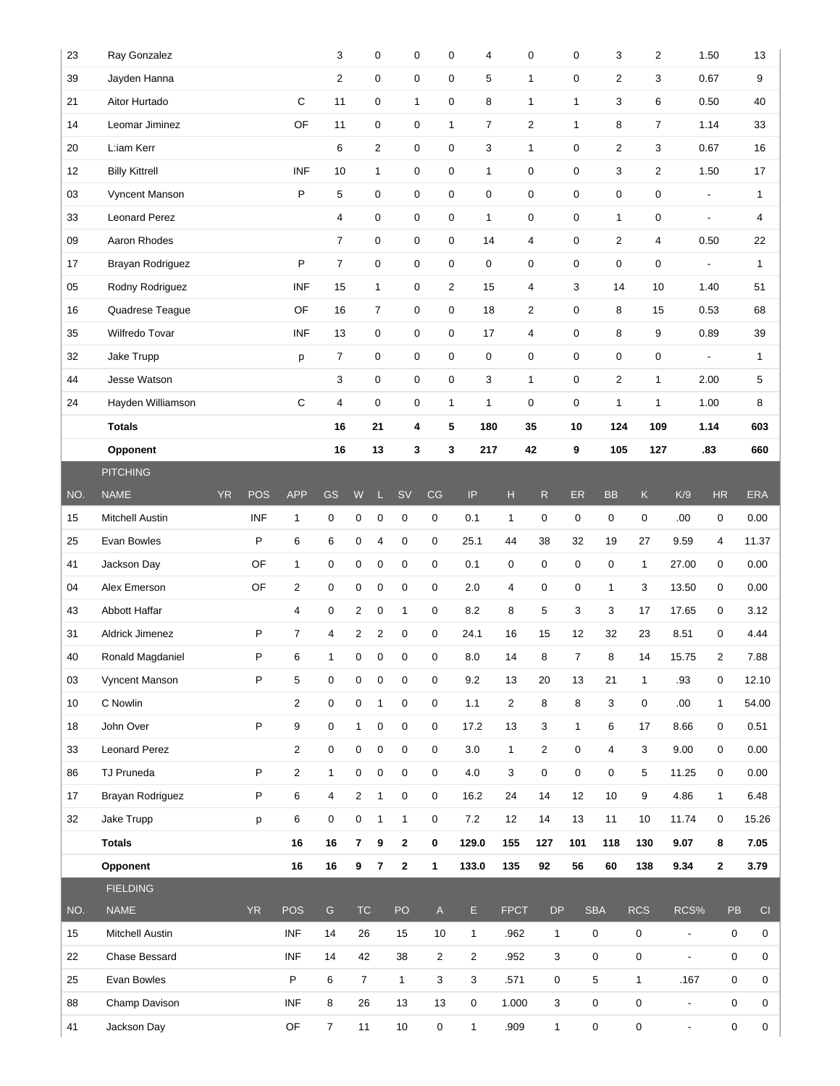| 23  | Ray Gonzalez          |           |            |                | 3                   |                         | 0                       | $\mathbf 0$      | $\pmb{0}$                                                             | 4              |                | $\mathbf 0$             | $\mathbf 0$    | 3                | 2              |                          | 1.50                     |                     | 13             |
|-----|-----------------------|-----------|------------|----------------|---------------------|-------------------------|-------------------------|------------------|-----------------------------------------------------------------------|----------------|----------------|-------------------------|----------------|------------------|----------------|--------------------------|--------------------------|---------------------|----------------|
| 39  | Jayden Hanna          |           |            |                | $\overline{2}$      |                         | 0                       | 0                | $\mathbf 0$                                                           | 5              |                | 1                       | $\mathbf 0$    | 2                | 3              |                          | 0.67                     |                     | 9              |
| 21  | Aitor Hurtado         |           |            | $\mathsf C$    | 11                  |                         | 0                       | $\mathbf{1}$     | 0                                                                     | 8              |                | $\mathbf{1}$            | 1              | 3                | 6              |                          | 0.50                     |                     | 40             |
| 14  | Leomar Jiminez        |           |            | OF             | 11                  |                         | 0                       | 0                | $\mathbf{1}$                                                          | 7              |                | $\overline{2}$          | $\mathbf{1}$   | 8                | $\overline{7}$ |                          | 1.14                     |                     | 33             |
| 20  | L:iam Kerr            |           |            |                | 6                   |                         | 2                       | 0                | $\pmb{0}$                                                             | 3              |                | $\mathbf{1}$            | $\mathbf 0$    | $\overline{2}$   | 3              |                          | 0.67                     |                     | 16             |
| 12  | <b>Billy Kittrell</b> |           |            | <b>INF</b>     | 10                  |                         | $\mathbf{1}$            | 0                | 0                                                                     | $\mathbf{1}$   |                | $\pmb{0}$               | $\mathbf 0$    | 3                | 2              |                          | 1.50                     |                     | 17             |
| 03  | Vyncent Manson        |           |            | P              | 5                   |                         | 0                       | 0                | $\mathbf 0$                                                           | $\mathbf 0$    |                | $\mathbf 0$             | $\mathbf 0$    | $\boldsymbol{0}$ | 0              |                          | $\overline{a}$           |                     | $\mathbf{1}$   |
| 33  | <b>Leonard Perez</b>  |           |            |                | 4                   |                         | 0                       | 0                | $\pmb{0}$                                                             | $\mathbf{1}$   |                | $\pmb{0}$               | $\mathbf 0$    | $\mathbf{1}$     | 0              |                          | $\overline{\phantom{a}}$ |                     | $\overline{4}$ |
| 09  | Aaron Rhodes          |           |            |                | $\overline{7}$      |                         | 0                       | 0                | 0                                                                     | 14             |                | 4                       | $\mathbf 0$    | $\overline{2}$   | 4              |                          | 0.50                     |                     | 22             |
| 17  | Brayan Rodriguez      |           |            | P              | $\overline{7}$      |                         | 0                       | $\pmb{0}$        | $\pmb{0}$                                                             | 0              |                | $\mathbf 0$             | $\mathbf 0$    | 0                | 0              |                          | $\blacksquare$           |                     | $\mathbf{1}$   |
| 05  | Rodny Rodriguez       |           |            | <b>INF</b>     | 15                  |                         | 1                       | 0                | $\overline{2}$                                                        | 15             |                | 4                       | 3              | 14               | 10             |                          | 1.40                     |                     | 51             |
| 16  | Quadrese Teague       |           |            | OF             | 16                  |                         | $\overline{7}$          | 0                | $\mathbf 0$                                                           | 18             |                | $\overline{\mathbf{c}}$ | $\pmb{0}$      | 8                | 15             |                          | 0.53                     |                     | 68             |
| 35  | Wilfredo Tovar        |           |            | <b>INF</b>     | 13                  |                         | 0                       | 0                | $\mathbf 0$                                                           | 17             |                | 4                       | $\mathbf 0$    | 8                | 9              |                          | 0.89                     |                     | 39             |
| 32  | Jake Trupp            |           |            | p              | 7                   |                         | 0                       | 0                | 0                                                                     | 0              |                | 0                       | $\mathbf 0$    | 0                | 0              |                          | $\blacksquare$           |                     | $\mathbf{1}$   |
| 44  | Jesse Watson          |           |            |                | 3                   |                         | 0                       | 0                | $\pmb{0}$                                                             | 3              |                | $\mathbf{1}$            | $\mathbf 0$    | $\overline{c}$   | $\mathbf{1}$   |                          | 2.00                     |                     | 5              |
| 24  | Hayden Williamson     |           |            | C              | 4                   |                         | 0                       | 0                | $\mathbf{1}$                                                          | $\mathbf{1}$   |                | $\mathbf 0$             | $\mathbf 0$    | $\mathbf{1}$     | 1              |                          | 1.00                     |                     | 8              |
|     | <b>Totals</b>         |           |            |                | 16                  |                         | 21                      | 4                | 5                                                                     | 180            |                | 35                      | 10             | 124              | 109            |                          | 1.14                     |                     | 603            |
|     | Opponent              |           |            |                | 16                  |                         | 13                      | 3                | 3                                                                     | 217            |                | 42                      | 9              | 105              | 127            |                          | .83                      |                     | 660            |
|     | <b>PITCHING</b>       |           |            |                |                     |                         |                         |                  |                                                                       |                |                |                         |                |                  |                |                          |                          |                     |                |
| NO. | <b>NAME</b>           | <b>YR</b> | <b>POS</b> | <b>APP</b>     | GS                  | W                       |                         | <b>SV</b>        | CG                                                                    | $\sf IP$       | н              | $\mathsf{R}$            | ER             | <b>BB</b>        | $\mathsf K$    | K/9                      | HR                       | <b>ERA</b>          |                |
| 15  | Mitchell Austin       |           | <b>INF</b> | $\mathbf{1}$   | 0                   | 0                       | 0                       | $\pmb{0}$        | 0                                                                     | 0.1            | 1              | 0                       | $\pmb{0}$      | 0                | 0              | .00.                     | $\pmb{0}$                | 0.00                |                |
| 25  | Evan Bowles           |           | P          | 6              | 6                   | 0                       | 4                       | $\mathbf 0$      | 0                                                                     | 25.1           | 44             | 38                      | 32             | 19               | 27             | 9.59                     | 4                        | 11.37               |                |
| 41  | Jackson Day           |           | OF         | $\mathbf{1}$   | 0                   | 0                       | 0                       | 0                | 0                                                                     | 0.1            | 0              | 0                       | $\mathbf 0$    | 0                | $\mathbf{1}$   | 27.00                    | $\mathbf 0$              | 0.00                |                |
| 04  | Alex Emerson          |           | OF         | $\overline{2}$ | 0                   | 0                       | 0                       | $\pmb{0}$        | 0                                                                     | 2.0            | 4              | 0                       | 0              | $\mathbf{1}$     | 3              | 13.50                    | $\mathbf 0$              | 0.00                |                |
| 43  | Abbott Haffar         |           |            | 4              | 0                   | 2                       | 0                       | $\mathbf{1}$     | 0                                                                     | 8.2            | 8              | 5                       | 3              | 3                | 17             | 17.65                    | $\mathbf 0$              | 3.12                |                |
| 31  | Aldrick Jimenez       |           | P          | $\overline{7}$ | 4                   | 2                       | $\overline{\mathbf{c}}$ | $\mathbf 0$      | 0                                                                     | 24.1           | 16             | 15                      | 12             | 32               | 23             | 8.51                     | 0                        | 4.44                |                |
| 40  | Ronald Magdaniel      |           | P          | 6              | 1                   | 0                       | 0                       | $\mathbf 0$      | 0                                                                     | 8.0            | 14             | 8                       | $\overline{7}$ | 8                | 14             | 15.75                    | $\overline{2}$           | 7.88                |                |
| 03  | Vyncent Manson        |           | P          | 5              | 0                   | 0                       | 0                       | $\mathbf 0$      | 0                                                                     | 9.2            | 13             | 20                      | 13             | 21               | $\mathbf{1}$   | .93                      | $\mathbf 0$              |                     | 12.10          |
| 10  | C Nowlin              |           |            | 2              | 0                   | 0                       | $\mathbf{1}$            | $\boldsymbol{0}$ | $\mathbf 0$                                                           | 1.1            | $\overline{2}$ | 8                       | 8              | 3                | 0              | .00.                     | $\mathbf{1}$             |                     | 54.00          |
| 18  | John Over             |           | P          | 9              | $\mathsf{O}\xspace$ | $\mathbf{1}$            | $\mathsf 0$             | $\boldsymbol{0}$ | 0                                                                     | 17.2           | 13             | $\mathbf 3$             | $\mathbf{1}$   | 6                | 17             | 8.66                     | $\mathbf 0$              | 0.51                |                |
| 33  | <b>Leonard Perez</b>  |           |            | $\overline{2}$ | 0                   | 0                       | 0                       | 0                | $\mathbf 0$                                                           | 3.0            | $\mathbf{1}$   | $\overline{2}$          | $\pmb{0}$      | 4                | 3              | 9.00                     | $\mathbf 0$              | 0.00                |                |
| 86  | TJ Pruneda            |           | P          | $\overline{2}$ | $\mathbf{1}$        | 0                       | $\mathsf 0$             | $\boldsymbol{0}$ | 0                                                                     | 4.0            | $\mathbf 3$    | $\mathsf 0$             | $\pmb{0}$      | 0                | 5              | 11.25                    | $\mathbf 0$              |                     | 0.00           |
| 17  | Brayan Rodriguez      |           | P          | 6              | $\overline{4}$      | $\overline{\mathbf{c}}$ | $\mathbf{1}$            | $\boldsymbol{0}$ | $\mathbf 0$                                                           | 16.2           | 24             | 14                      | 12             | 10 <sup>10</sup> | 9              | 4.86                     | $\mathbf{1}$             |                     | 6.48           |
| 32  | Jake Trupp            |           | p          | 6              | 0                   | 0                       | $\mathbf{1}$            | $\mathbf{1}$     | 0                                                                     | 7.2            | 12             | 14                      | 13             | 11               | 10             | 11.74                    | $\mathbf 0$              | 15.26               |                |
|     | <b>Totals</b>         |           |            | ${\bf 16}$     | 16                  | $\overline{7}$          | 9                       | $\mathbf{2}$     | $\mathbf 0$                                                           | 129.0          | 155            | 127                     | 101            | 118              | 130            | 9.07                     | 8                        |                     | 7.05           |
|     | Opponent              |           |            | 16             | 16                  | 9                       | 7                       | $\mathbf{2}$     | 1                                                                     | 133.0          | 135            | 92                      | 56             | 60               | 138            | 9.34                     | $\mathbf{2}$             |                     | 3.79           |
|     | <b>FIELDING</b>       |           |            |                |                     |                         |                         |                  |                                                                       |                |                |                         |                |                  |                |                          |                          |                     |                |
| NO. | <b>NAME</b>           |           | <b>YR</b>  | POS            | ${\mathsf G}$       | TC                      |                         | PO               | $\mathsf{A}% _{\mathsf{A}}^{\prime}=\mathsf{A}_{\mathsf{A}}^{\prime}$ | E              | <b>FPCT</b>    | ${\sf DP}$              |                | <b>SBA</b>       | <b>RCS</b>     | RCS%                     |                          | PB                  | CI             |
| 15  | Mitchell Austin       |           |            | INF            | 14                  | 26                      |                         | 15               | 10                                                                    | $\mathbf{1}$   | .962           | $\mathbf{1}$            |                | $\pmb{0}$        | 0              | $\overline{\phantom{a}}$ |                          | $\mathbf 0$         | 0              |
| 22  | Chase Bessard         |           |            | <b>INF</b>     | 14                  | 42                      |                         | 38               | $\overline{2}$                                                        | $\overline{2}$ | .952           | 3                       |                | $\mathbf 0$      | 0              | $\blacksquare$           |                          | $\mathsf{O}\xspace$ | $\mathbf 0$    |
| 25  | Evan Bowles           |           |            | P              | 6                   | $\overline{7}$          |                         | $\mathbf{1}$     | 3                                                                     | 3              | .571           | 0                       |                | 5                | $\mathbf{1}$   | .167                     |                          | $\mathbf 0$         | 0              |
| 88  | Champ Davison         |           |            | <b>INF</b>     | 8                   | 26                      |                         | 13               | 13                                                                    | 0              | 1.000          | 3                       |                | $\mathbf 0$      | 0              | $\overline{\phantom{a}}$ |                          | $\mathbf 0$         | $\mathbf 0$    |
| 41  | Jackson Day           |           |            | OF             | $\overline{7}$      | 11                      |                         | 10               | 0                                                                     | $\mathbf{1}$   | .909           | $\mathbf{1}$            |                | 0                | $\mathbf 0$    | $\blacksquare$           |                          | $\mathsf{O}\xspace$ | $\mathbf 0$    |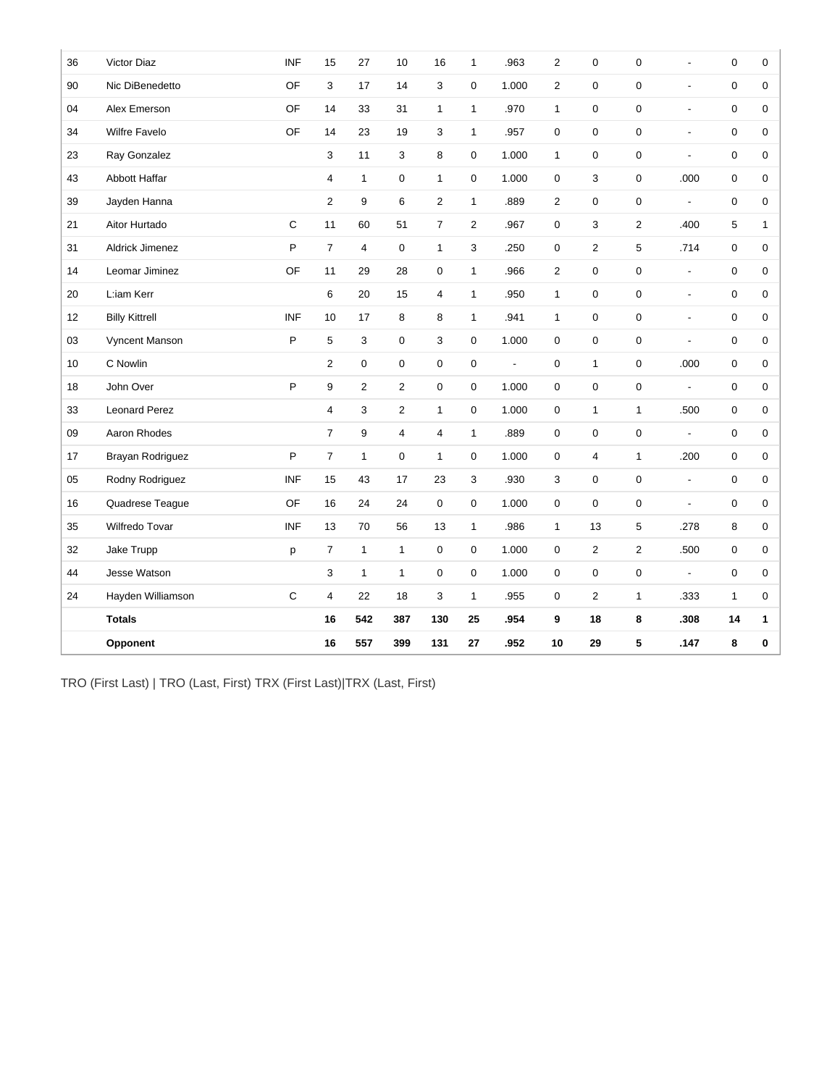| 36 | Victor Diaz           | <b>INF</b>  | 15             | 27                      | 10               | 16             | 1              | .963           | $\overline{2}$ | $\mathbf 0$             | $\pmb{0}$      | ä,                       | $\pmb{0}$    | 0            |
|----|-----------------------|-------------|----------------|-------------------------|------------------|----------------|----------------|----------------|----------------|-------------------------|----------------|--------------------------|--------------|--------------|
| 90 | Nic DiBenedetto       | OF          | 3              | 17                      | 14               | 3              | 0              | 1.000          | $\overline{2}$ | 0                       | 0              | $\overline{\phantom{a}}$ | 0            | 0            |
| 04 | Alex Emerson          | OF          | 14             | 33                      | 31               | $\mathbf{1}$   | $\mathbf{1}$   | .970           | $\mathbf{1}$   | $\mathbf 0$             | 0              | ÷,                       | 0            | 0            |
| 34 | <b>Wilfre Favelo</b>  | OF          | 14             | 23                      | 19               | 3              | $\mathbf{1}$   | .957           | $\mathbf 0$    | $\mathbf 0$             | 0              | ä,                       | 0            | 0            |
| 23 | Ray Gonzalez          |             | 3              | 11                      | 3                | 8              | 0              | 1.000          | $\mathbf{1}$   | $\mathbf 0$             | 0              | $\overline{a}$           | 0            | 0            |
| 43 | Abbott Haffar         |             | $\overline{4}$ | $\mathbf{1}$            | 0                | $\mathbf{1}$   | 0              | 1.000          | $\mathbf 0$    | 3                       | 0              | .000                     | 0            | 0            |
| 39 | Jayden Hanna          |             | $\overline{2}$ | 9                       | 6                | $\overline{2}$ | $\mathbf{1}$   | .889           | $\overline{2}$ | $\mathbf 0$             | 0              | $\overline{\phantom{a}}$ | 0            | 0            |
| 21 | Aitor Hurtado         | $\mathsf C$ | 11             | 60                      | 51               | $\overline{7}$ | $\overline{2}$ | .967           | 0              | 3                       | $\overline{2}$ | .400                     | 5            | $\mathbf{1}$ |
| 31 | Aldrick Jimenez       | P           | $\overline{7}$ | $\overline{\mathbf{4}}$ | $\mathbf 0$      | $\mathbf{1}$   | 3              | .250           | $\pmb{0}$      | $\overline{2}$          | 5              | .714                     | 0            | 0            |
| 14 | Leomar Jiminez        | OF          | 11             | 29                      | 28               | 0              | $\mathbf{1}$   | .966           | $\overline{2}$ | $\mathbf 0$             | 0              | $\blacksquare$           | 0            | 0            |
| 20 | L:iam Kerr            |             | 6              | 20                      | 15               | 4              | $\mathbf{1}$   | .950           | $\mathbf{1}$   | $\mathbf 0$             | 0              | $\overline{a}$           | 0            | 0            |
| 12 | <b>Billy Kittrell</b> | <b>INF</b>  | 10             | 17                      | 8                | 8              | $\mathbf{1}$   | .941           | $\mathbf{1}$   | $\mathbf 0$             | 0              | $\overline{a}$           | 0            | 0            |
| 03 | Vyncent Manson        | P           | 5              | 3                       | $\mathbf 0$      | 3              | 0              | 1.000          | $\mathbf 0$    | $\mathbf 0$             | 0              | ÷,                       | 0            | 0            |
| 10 | C Nowlin              |             | $\overline{2}$ | 0                       | $\boldsymbol{0}$ | $\mathbf 0$    | 0              | $\blacksquare$ | $\mathbf 0$    | $\mathbf{1}$            | 0              | .000                     | 0            | 0            |
| 18 | John Over             | P           | 9              | $\overline{2}$          | 2                | $\mathbf 0$    | 0              | 1.000          | $\mathbf 0$    | $\mathbf 0$             | $\pmb{0}$      | $\overline{\phantom{a}}$ | 0            | 0            |
| 33 | <b>Leonard Perez</b>  |             | $\overline{4}$ | 3                       | 2                | $\mathbf{1}$   | 0              | 1.000          | $\mathbf 0$    | $\mathbf{1}$            | $\mathbf{1}$   | .500                     | 0            | 0            |
| 09 | Aaron Rhodes          |             | $\overline{7}$ | 9                       | 4                | 4              | $\mathbf{1}$   | .889           | $\mathbf 0$    | $\mathbf 0$             | 0              | ÷,                       | 0            | 0            |
| 17 | Brayan Rodriguez      | P           | $\overline{7}$ | $\mathbf{1}$            | 0                | $\mathbf{1}$   | $\mathbf 0$    | 1.000          | $\mathbf 0$    | $\overline{\mathbf{4}}$ | $\mathbf{1}$   | .200                     | 0            | 0            |
| 05 | Rodny Rodriguez       | <b>INF</b>  | 15             | 43                      | 17               | 23             | 3              | .930           | 3              | $\mathbf 0$             | 0              | $\blacksquare$           | 0            | 0            |
| 16 | Quadrese Teague       | OF          | 16             | 24                      | 24               | $\mathbf 0$    | 0              | 1.000          | $\mathbf 0$    | $\mathbf 0$             | 0              | ÷,                       | 0            | 0            |
| 35 | Wilfredo Tovar        | <b>INF</b>  | 13             | 70                      | 56               | 13             | $\mathbf{1}$   | .986           | $\mathbf{1}$   | 13                      | 5              | .278                     | 8            | 0            |
| 32 | Jake Trupp            | p           | $\overline{7}$ | $\mathbf{1}$            | $\mathbf{1}$     | $\mathbf 0$    | $\mathbf 0$    | 1.000          | $\mathbf 0$    | $\overline{2}$          | $\overline{2}$ | .500                     | 0            | 0            |
| 44 | Jesse Watson          |             | 3              | $\mathbf{1}$            | $\mathbf{1}$     | $\mathbf 0$    | 0              | 1.000          | 0              | $\mathbf 0$             | 0              | $\overline{\phantom{a}}$ | 0            | 0            |
| 24 | Hayden Williamson     | $\mathbf C$ | 4              | 22                      | 18               | 3              | $\mathbf{1}$   | .955           | $\pmb{0}$      | $\overline{c}$          | $\mathbf{1}$   | .333                     | $\mathbf{1}$ | 0            |
|    | <b>Totals</b>         |             | 16             | 542                     | 387              | 130            | 25             | .954           | 9              | 18                      | 8              | .308                     | 14           | 1            |
|    | Opponent              |             | 16             | 557                     | 399              | 131            | 27             | .952           | 10             | 29                      | 5              | .147                     | 8            | 0            |

TRO (First Last) | TRO (Last, First) TRX (First Last)|TRX (Last, First)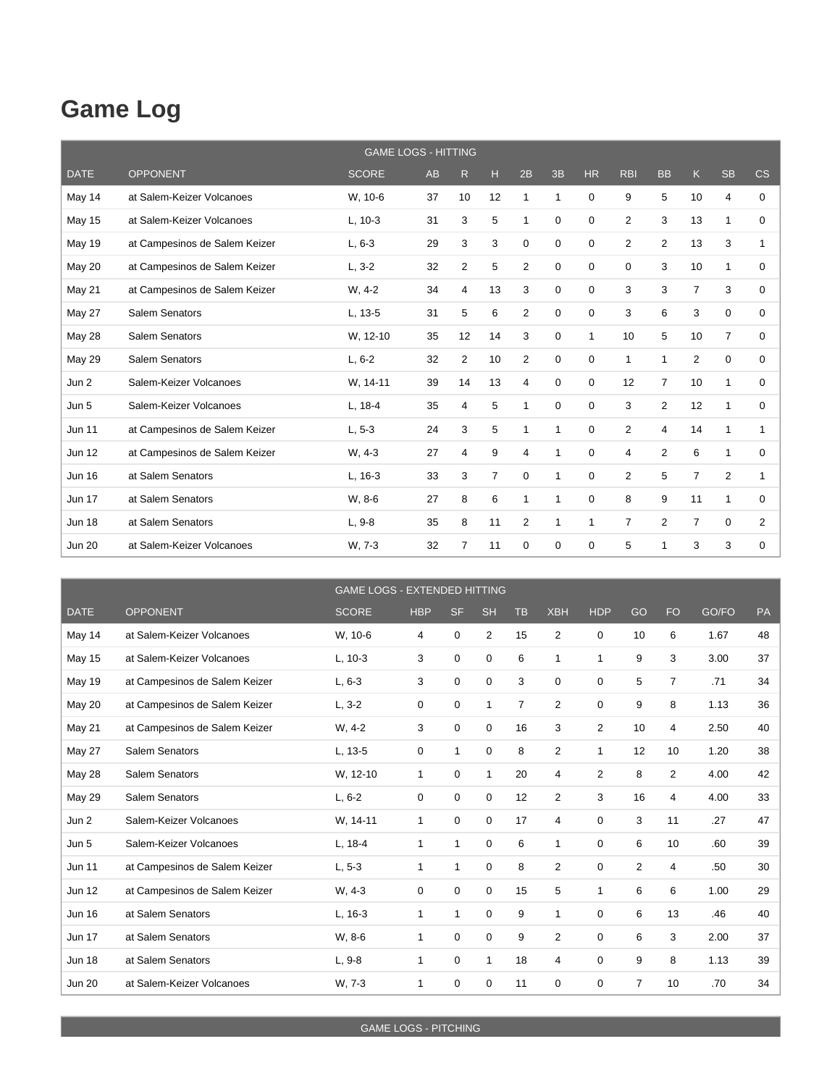## **Game Log**

|               |                               | <b>GAME LOGS - HITTING</b> |    |                |                |              |              |             |                |                |                |                |                |
|---------------|-------------------------------|----------------------------|----|----------------|----------------|--------------|--------------|-------------|----------------|----------------|----------------|----------------|----------------|
| <b>DATE</b>   | <b>OPPONENT</b>               | <b>SCORE</b>               | AB | R              | н              | 2B           | 3B           | <b>HR</b>   | <b>RBI</b>     | <b>BB</b>      | K              | <b>SB</b>      | CS             |
| May 14        | at Salem-Keizer Volcanoes     | W. 10-6                    | 37 | 10             | 12             | $\mathbf{1}$ | $\mathbf 1$  | $\Omega$    | 9              | 5              | 10             | 4              | $\mathbf 0$    |
| <b>May 15</b> | at Salem-Keizer Volcanoes     | $L, 10-3$                  | 31 | 3              | 5              | 1            | 0            | $\Omega$    | $\overline{2}$ | 3              | 13             | $\mathbf 1$    | $\Omega$       |
| May 19        | at Campesinos de Salem Keizer | $L, 6-3$                   | 29 | 3              | 3              | 0            | 0            | 0           | $\overline{2}$ | $\overline{2}$ | 13             | 3              | 1              |
| May 20        | at Campesinos de Salem Keizer | $L, 3-2$                   | 32 | $\overline{2}$ | 5              | 2            | 0            | $\Omega$    | 0              | 3              | 10             | 1              | 0              |
| May 21        | at Campesinos de Salem Keizer | W. 4-2                     | 34 | 4              | 13             | 3            | 0            | $\Omega$    | 3              | 3              | $\overline{7}$ | 3              | 0              |
| <b>May 27</b> | Salem Senators                | L, 13-5                    | 31 | 5              | 6              | 2            | 0            | $\Omega$    | 3              | 6              | 3              | 0              | 0              |
| <b>May 28</b> | Salem Senators                | W. 12-10                   | 35 | 12             | 14             | 3            | 0            | 1           | 10             | 5              | 10             | $\overline{7}$ | $\mathbf 0$    |
| <b>May 29</b> | Salem Senators                | $L, 6-2$                   | 32 | $\overline{2}$ | 10             | 2            | 0            | $\Omega$    | $\mathbf{1}$   | 1              | $\overline{2}$ | $\mathbf 0$    | 0              |
| Jun 2         | Salem-Keizer Volcanoes        | W. 14-11                   | 39 | 14             | 13             | 4            | 0            | 0           | 12             | $\overline{7}$ | 10             | $\mathbf{1}$   | $\mathbf 0$    |
| Jun 5         | Salem-Keizer Volcanoes        | L, 18-4                    | 35 | 4              | 5              | 1            | 0            | 0           | 3              | $\overline{2}$ | 12             | 1              | 0              |
| <b>Jun 11</b> | at Campesinos de Salem Keizer | $L, 5-3$                   | 24 | 3              | 5              | 1            | $\mathbf 1$  | 0           | $\overline{2}$ | $\overline{4}$ | 14             | $\mathbf{1}$   | 1              |
| <b>Jun 12</b> | at Campesinos de Salem Keizer | W, 4-3                     | 27 | 4              | 9              | 4            | $\mathbf 1$  | $\mathbf 0$ | 4              | $\overline{2}$ | 6              | $\mathbf{1}$   | $\mathbf 0$    |
| <b>Jun 16</b> | at Salem Senators             | L, 16-3                    | 33 | 3              | $\overline{7}$ | $\mathbf 0$  | $\mathbf{1}$ | $\mathbf 0$ | $\overline{2}$ | 5              | $\overline{7}$ | 2              | 1              |
| <b>Jun 17</b> | at Salem Senators             | W, 8-6                     | 27 | 8              | 6              | $\mathbf{1}$ | 1            | $\Omega$    | 8              | 9              | 11             | $\mathbf{1}$   | $\mathbf 0$    |
| <b>Jun 18</b> | at Salem Senators             | $L, 9-8$                   | 35 | 8              | 11             | 2            | $\mathbf 1$  | 1           | 7              | $\overline{2}$ | $\overline{7}$ | $\mathbf 0$    | $\overline{2}$ |
| <b>Jun 20</b> | at Salem-Keizer Volcanoes     | W. 7-3                     | 32 | $\overline{7}$ | 11             | $\mathbf 0$  | 0            | $\Omega$    | 5              | 1              | 3              | 3              | 0              |

|               |                               | <b>GAME LOGS - EXTENDED HITTING</b> |              |              |                |           |                |            |    |                |       |    |
|---------------|-------------------------------|-------------------------------------|--------------|--------------|----------------|-----------|----------------|------------|----|----------------|-------|----|
| <b>DATE</b>   | <b>OPPONENT</b>               | <b>SCORE</b>                        | <b>HBP</b>   | <b>SF</b>    | <b>SH</b>      | <b>TB</b> | <b>XBH</b>     | <b>HDP</b> | GO | <b>FO</b>      | GO/FO | PA |
| May 14        | at Salem-Keizer Volcanoes     | W, 10-6                             | 4            | 0            | $\overline{2}$ | 15        | $\overline{2}$ | 0          | 10 | 6              | 1.67  | 48 |
| <b>May 15</b> | at Salem-Keizer Volcanoes     | $L, 10-3$                           | 3            | 0            | 0              | 6         | 1              | 1          | 9  | 3              | 3.00  | 37 |
| <b>May 19</b> | at Campesinos de Salem Keizer | $L, 6-3$                            | 3            | 0            | $\mathbf 0$    | 3         | $\mathbf 0$    | 0          | 5  | $\overline{7}$ | .71   | 34 |
| May 20        | at Campesinos de Salem Keizer | $L, 3-2$                            | 0            | 0            | $\mathbf{1}$   | 7         | $\overline{2}$ | 0          | 9  | 8              | 1.13  | 36 |
| May 21        | at Campesinos de Salem Keizer | $W, 4-2$                            | 3            | 0            | $\mathbf 0$    | 16        | 3              | 2          | 10 | 4              | 2.50  | 40 |
| May 27        | Salem Senators                | L, 13-5                             | 0            | 1            | $\mathbf 0$    | 8         | 2              | 1          | 12 | 10             | 1.20  | 38 |
| <b>May 28</b> | Salem Senators                | W, 12-10                            | 1            | 0            | $\mathbf{1}$   | 20        | 4              | 2          | 8  | $\overline{2}$ | 4.00  | 42 |
| <b>May 29</b> | Salem Senators                | $L, 6-2$                            | 0            | 0            | $\mathbf 0$    | 12        | $\overline{2}$ | 3          | 16 | 4              | 4.00  | 33 |
| Jun 2         | Salem-Keizer Volcanoes        | W. 14-11                            | $\mathbf{1}$ | $\mathbf 0$  | $\mathbf 0$    | 17        | $\overline{4}$ | 0          | 3  | 11             | .27   | 47 |
| Jun 5         | Salem-Keizer Volcanoes        | $L, 18-4$                           | $\mathbf{1}$ | $\mathbf{1}$ | 0              | 6         | 1              | 0          | 6  | 10             | .60   | 39 |
| <b>Jun 11</b> | at Campesinos de Salem Keizer | $L, 5-3$                            | $\mathbf{1}$ | 1            | 0              | 8         | $\overline{2}$ | 0          | 2  | 4              | .50   | 30 |
| <b>Jun 12</b> | at Campesinos de Salem Keizer | W, 4-3                              | 0            | 0            | $\mathbf 0$    | 15        | 5              | 1          | 6  | 6              | 1.00  | 29 |
| <b>Jun 16</b> | at Salem Senators             | $L, 16-3$                           | $\mathbf{1}$ | $\mathbf{1}$ | $\mathbf 0$    | 9         | 1              | 0          | 6  | 13             | .46   | 40 |
| <b>Jun 17</b> | at Salem Senators             | W, 8-6                              | 1            | 0            | $\mathbf 0$    | 9         | $\overline{2}$ | 0          | 6  | 3              | 2.00  | 37 |
| <b>Jun 18</b> | at Salem Senators             | $L, 9-8$                            | $\mathbf{1}$ | 0            | $\mathbf{1}$   | 18        | 4              | 0          | 9  | 8              | 1.13  | 39 |
| <b>Jun 20</b> | at Salem-Keizer Volcanoes     | W. 7-3                              | 1            | 0            | 0              | 11        | $\mathbf 0$    | 0          | 7  | 10             | .70   | 34 |

GAME LOGS - PITCHING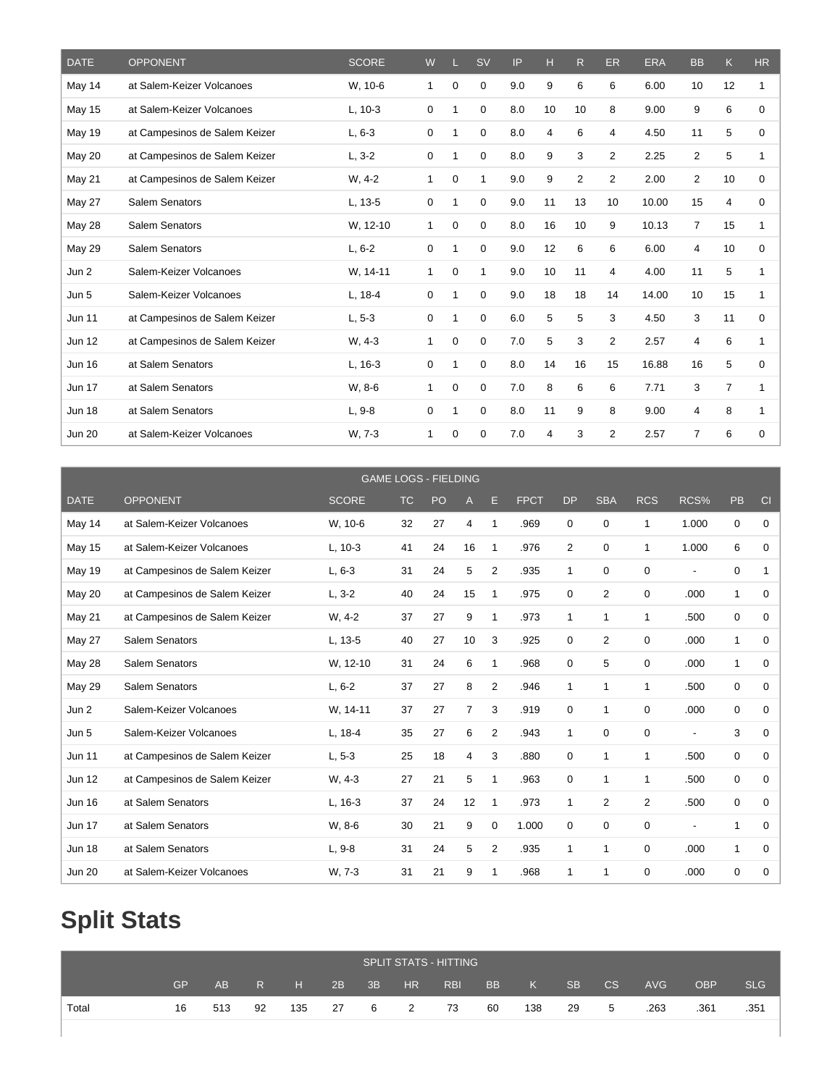| <b>DATE</b>   | <b>OPPONENT</b>               | <b>SCORE</b> | W |   | <b>SV</b>    | IP  | н  | R.             | <b>ER</b>      | <b>ERA</b> | <b>BB</b>      | K  | <b>HR</b> |
|---------------|-------------------------------|--------------|---|---|--------------|-----|----|----------------|----------------|------------|----------------|----|-----------|
| May 14        | at Salem-Keizer Volcanoes     | W. 10-6      | 1 | 0 | 0            | 9.0 | 9  | 6              | 6              | 6.00       | 10             | 12 | 1         |
| <b>May 15</b> | at Salem-Keizer Volcanoes     | $L, 10-3$    | 0 |   | 0            | 8.0 | 10 | 10             | 8              | 9.00       | 9              | 6  | $\Omega$  |
| <b>May 19</b> | at Campesinos de Salem Keizer | $L, 6-3$     | 0 |   | 0            | 8.0 | 4  | 6              | 4              | 4.50       | 11             | 5  | 0         |
| May 20        | at Campesinos de Salem Keizer | $L, 3-2$     | 0 | 1 | 0            | 8.0 | 9  | 3              | $\overline{2}$ | 2.25       | $\overline{2}$ | 5  | 1         |
| <b>May 21</b> | at Campesinos de Salem Keizer | $W, 4-2$     | 1 | 0 | $\mathbf{1}$ | 9.0 | 9  | $\overline{2}$ | $\overline{2}$ | 2.00       | 2              | 10 | 0         |
| May 27        | Salem Senators                | L. 13-5      | 0 | 1 | 0            | 9.0 | 11 | 13             | 10             | 10.00      | 15             | 4  | 0         |
| May 28        | Salem Senators                | W, 12-10     | 1 | 0 | 0            | 8.0 | 16 | 10             | 9              | 10.13      | $\overline{7}$ | 15 | 1         |
| <b>May 29</b> | Salem Senators                | $L, 6-2$     | 0 |   | 0            | 9.0 | 12 | 6              | 6              | 6.00       | 4              | 10 | 0         |
| Jun 2         | Salem-Keizer Volcanoes        | W. 14-11     | 1 | 0 | 1            | 9.0 | 10 | 11             | 4              | 4.00       | 11             | 5  | 1         |
| Jun 5         | Salem-Keizer Volcanoes        | L, 18-4      | 0 | 1 | 0            | 9.0 | 18 | 18             | 14             | 14.00      | 10             | 15 | 1         |
| <b>Jun 11</b> | at Campesinos de Salem Keizer | $L, 5-3$     | 0 |   | 0            | 6.0 | 5  | 5              | 3              | 4.50       | 3              | 11 | $\Omega$  |
| <b>Jun 12</b> | at Campesinos de Salem Keizer | W, 4-3       | 1 | 0 | 0            | 7.0 | 5  | 3              | $\overline{2}$ | 2.57       | 4              | 6  | 1         |
| <b>Jun 16</b> | at Salem Senators             | $L, 16-3$    | 0 |   | 0            | 8.0 | 14 | 16             | 15             | 16.88      | 16             | 5  | 0         |
| <b>Jun 17</b> | at Salem Senators             | W. 8-6       | 1 | 0 | 0            | 7.0 | 8  | 6              | 6              | 7.71       | 3              | 7  | 1         |
| <b>Jun 18</b> | at Salem Senators             | $L, 9-8$     | 0 |   | 0            | 8.0 | 11 | 9              | 8              | 9.00       | 4              | 8  | 1         |
| <b>Jun 20</b> | at Salem-Keizer Volcanoes     | W. 7-3       | 1 | 0 | 0            | 7.0 | 4  | 3              | 2              | 2.57       | 7              | 6  | 0         |

|               |                               | <b>GAME LOGS - FIELDING</b> |           |    |                |                |             |                |                |                |       |              |             |
|---------------|-------------------------------|-----------------------------|-----------|----|----------------|----------------|-------------|----------------|----------------|----------------|-------|--------------|-------------|
| <b>DATE</b>   | <b>OPPONENT</b>               | <b>SCORE</b>                | <b>TC</b> | PO | A              | Е              | <b>FPCT</b> | <b>DP</b>      | <b>SBA</b>     | <b>RCS</b>     | RCS%  | PB           | CI          |
| May 14        | at Salem-Keizer Volcanoes     | W, 10-6                     | 32        | 27 | $\overline{4}$ | 1              | .969        | $\Omega$       | 0              | 1              | 1.000 | 0            | $\mathbf 0$ |
| <b>May 15</b> | at Salem-Keizer Volcanoes     | $L, 10-3$                   | 41        | 24 | 16             | 1              | .976        | $\overline{2}$ | 0              | 1              | 1.000 | 6            | $\Omega$    |
| <b>May 19</b> | at Campesinos de Salem Keizer | $L, 6-3$                    | 31        | 24 | 5              | $\overline{2}$ | .935        | 1              | 0              | 0              |       | 0            | 1           |
| <b>May 20</b> | at Campesinos de Salem Keizer | $L, 3-2$                    | 40        | 24 | 15             | 1              | .975        | 0              | 2              | 0              | .000  | $\mathbf{1}$ | $\mathbf 0$ |
| May 21        | at Campesinos de Salem Keizer | $W, 4-2$                    | 37        | 27 | 9              | 1              | .973        | 1              | 1              | 1              | .500  | 0            | $\mathbf 0$ |
| <b>May 27</b> | Salem Senators                | L, 13-5                     | 40        | 27 | 10             | 3              | .925        | 0              | $\overline{2}$ | $\Omega$       | .000  | $\mathbf{1}$ | 0           |
| <b>May 28</b> | Salem Senators                | W, 12-10                    | 31        | 24 | 6              | 1              | .968        | 0              | 5              | $\Omega$       | .000  | $\mathbf{1}$ | 0           |
| <b>May 29</b> | Salem Senators                | $L, 6-2$                    | 37        | 27 | 8              | $\overline{2}$ | .946        | 1              | 1              | 1              | .500  | 0            | 0           |
| Jun 2         | Salem-Keizer Volcanoes        | W. 14-11                    | 37        | 27 | $\overline{7}$ | 3              | .919        | 0              | 1              | 0              | .000  | 0            | 0           |
| Jun 5         | Salem-Keizer Volcanoes        | L, 18-4                     | 35        | 27 | 6              | $\overline{2}$ | .943        | 1              | 0              | 0              |       | 3            | 0           |
| <b>Jun 11</b> | at Campesinos de Salem Keizer | $L, 5-3$                    | 25        | 18 | 4              | 3              | .880        | 0              | 1              | 1              | .500  | 0            | 0           |
| <b>Jun 12</b> | at Campesinos de Salem Keizer | W, 4-3                      | 27        | 21 | 5              | 1              | .963        | $\Omega$       | 1              | 1              | .500  | 0            | $\Omega$    |
| <b>Jun 16</b> | at Salem Senators             | $L, 16-3$                   | 37        | 24 | 12             | 1              | .973        | 1              | $\overline{2}$ | $\overline{2}$ | .500  | 0            | $\Omega$    |
| <b>Jun 17</b> | at Salem Senators             | W. 8-6                      | 30        | 21 | 9              | 0              | 1.000       | $\Omega$       | $\Omega$       | 0              |       | $\mathbf{1}$ | 0           |
| <b>Jun 18</b> | at Salem Senators             | $L, 9-8$                    | 31        | 24 | 5              | $\overline{2}$ | .935        | 1              | 1              | $\Omega$       | .000  | $\mathbf{1}$ | 0           |
| <b>Jun 20</b> | at Salem-Keizer Volcanoes     | W. 7-3                      | 31        | 21 | 9              | 1              | .968        | 1              | 1              | $\Omega$       | .000  | 0            | $\mathbf 0$ |

# **Split Stats**

|       |           |     |    |            |    |     |                | <b>SPLIT STATS - HITTING</b> |           |     |           |    |            |            |            |
|-------|-----------|-----|----|------------|----|-----|----------------|------------------------------|-----------|-----|-----------|----|------------|------------|------------|
|       | <b>GP</b> | AB. | R. | <b>AHE</b> | 2B | 3B  | HR             | <b>RBI</b>                   | <b>BB</b> | K   | <b>SB</b> | CS | <b>AVG</b> | <b>OBP</b> | <b>SLG</b> |
| Total | 16        | 513 | 92 | 135        | 27 | - 6 | $\overline{2}$ | 73                           | 60        | 138 | 29        | 5  | .263       | .361       | .351       |
|       |           |     |    |            |    |     |                |                              |           |     |           |    |            |            |            |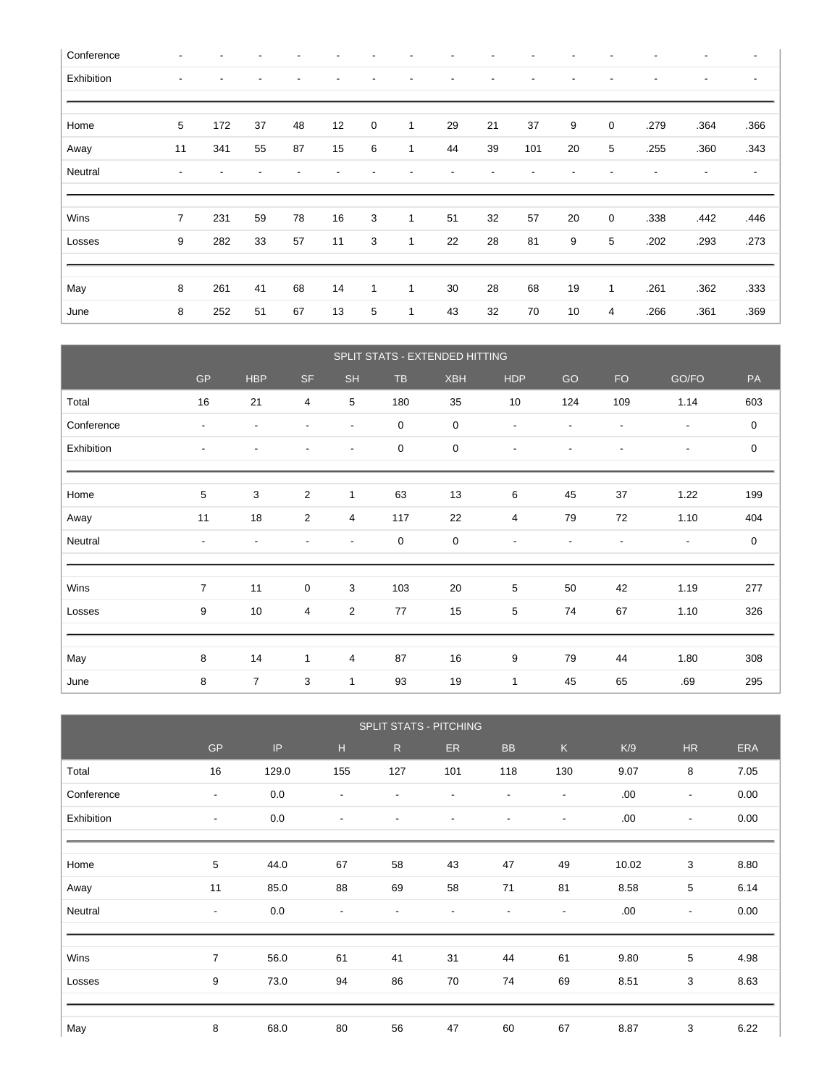| Conference |                          |     |    |    |    |   |              |    |    |     |    |   |      |      | $\overline{\phantom{a}}$ |
|------------|--------------------------|-----|----|----|----|---|--------------|----|----|-----|----|---|------|------|--------------------------|
| Exhibition | $\overline{\phantom{a}}$ |     |    |    |    |   |              |    |    |     |    |   |      | ٠    | $\overline{\phantom{a}}$ |
|            |                          |     |    |    |    |   |              |    |    |     |    |   |      |      |                          |
| Home       | 5                        | 172 | 37 | 48 | 12 | 0 | 1            | 29 | 21 | 37  | 9  | 0 | .279 | .364 | .366                     |
| Away       | 11                       | 341 | 55 | 87 | 15 | 6 | 1            | 44 | 39 | 101 | 20 | 5 | .255 | .360 | .343                     |
| Neutral    | $\overline{\phantom{a}}$ |     |    |    |    |   |              |    |    |     |    |   |      |      | $\overline{\phantom{a}}$ |
|            |                          |     |    |    |    |   |              |    |    |     |    |   |      |      |                          |
| Wins       | $\overline{7}$           | 231 | 59 | 78 | 16 | 3 | $\mathbf{1}$ | 51 | 32 | 57  | 20 | 0 | .338 | .442 | .446                     |
| Losses     | 9                        | 282 | 33 | 57 | 11 | 3 | 1            | 22 | 28 | 81  | 9  | 5 | .202 | .293 | .273                     |
|            |                          |     |    |    |    |   |              |    |    |     |    |   |      |      |                          |
| May        | 8                        | 261 | 41 | 68 | 14 | 1 | $\mathbf{1}$ | 30 | 28 | 68  | 19 | 1 | .261 | .362 | .333                     |
|            |                          |     |    |    |    |   |              |    |    |     |    |   |      |      |                          |

|            |                          |                          |                |                          |             | SPLIT STATS - EXTENDED HITTING |                          |                          |                          |                          |                  |
|------------|--------------------------|--------------------------|----------------|--------------------------|-------------|--------------------------------|--------------------------|--------------------------|--------------------------|--------------------------|------------------|
|            | $\mathsf{GP}$            | <b>HBP</b>               | <b>SF</b>      | <b>SH</b>                | TB          | <b>XBH</b>                     | <b>HDP</b>               | GO                       | <b>FO</b>                | GO/FO                    | PA               |
| Total      | 16                       | 21                       | 4              | $\overline{5}$           | 180         | 35                             | 10                       | 124                      | 109                      | 1.14                     | 603              |
| Conference | $\overline{\phantom{a}}$ | $\overline{\phantom{a}}$ |                | $\overline{\phantom{a}}$ | $\mathbf 0$ | $\boldsymbol{0}$               | $\overline{\phantom{a}}$ | $\blacksquare$           | Ĭ.                       | $\overline{\phantom{a}}$ | $\boldsymbol{0}$ |
| Exhibition | $\overline{\phantom{a}}$ | $\blacksquare$           |                | $\overline{\phantom{a}}$ | 0           | 0                              | $\overline{\phantom{a}}$ | ٠                        | ٠                        | $\overline{\phantom{a}}$ | 0                |
|            |                          |                          |                |                          |             |                                |                          |                          |                          |                          |                  |
| Home       | 5                        | 3                        | $\overline{c}$ | $\mathbf{1}$             | 63          | 13                             | 6                        | 45                       | 37                       | 1.22                     | 199              |
| Away       | 11                       | 18                       | 2              | 4                        | 117         | 22                             | 4                        | 79                       | 72                       | 1.10                     | 404              |
| Neutral    | $\overline{\phantom{a}}$ | $\overline{\phantom{a}}$ |                | $\overline{\phantom{a}}$ | 0           | 0                              | $\overline{\phantom{a}}$ | $\overline{\phantom{a}}$ | $\overline{\phantom{a}}$ | $\overline{\phantom{a}}$ | $\boldsymbol{0}$ |
|            |                          |                          |                |                          |             |                                |                          |                          |                          |                          |                  |
| Wins       | $\overline{7}$           | 11                       | $\pmb{0}$      | 3                        | 103         | 20                             | 5                        | 50                       | 42                       | 1.19                     | 277              |
| Losses     | 9                        | 10                       | 4              | 2                        | 77          | 15                             | 5                        | 74                       | 67                       | 1.10                     | 326              |
|            |                          |                          |                |                          |             |                                |                          |                          |                          |                          |                  |
| May        | 8                        | 14                       | $\mathbf{1}$   | 4                        | 87          | 16                             | 9                        | 79                       | 44                       | 1.80                     | 308              |
| June       | 8                        | $\overline{7}$           | 3              | $\mathbf{1}$             | 93          | 19                             | $\mathbf{1}$             | 45                       | 65                       | .69                      | 295              |

|            | SPLIT STATS - PITCHING   |       |                          |                          |                          |                          |                          |       |                          |            |
|------------|--------------------------|-------|--------------------------|--------------------------|--------------------------|--------------------------|--------------------------|-------|--------------------------|------------|
|            | <b>GP</b>                | IP    | H                        | R                        | ER.                      | <b>BB</b>                | $\mathsf K$              | K/9   | <b>HR</b>                | <b>ERA</b> |
| Total      | 16                       | 129.0 | 155                      | 127                      | 101                      | 118                      | 130                      | 9.07  | 8                        | 7.05       |
| Conference | $\overline{\phantom{a}}$ | 0.0   | $\overline{\phantom{a}}$ | $\blacksquare$           | $\overline{\phantom{a}}$ | $\overline{\phantom{a}}$ | $\overline{\phantom{a}}$ | .00   | $\overline{\phantom{a}}$ | 0.00       |
| Exhibition | $\overline{\phantom{a}}$ | 0.0   | $\overline{\phantom{a}}$ | $\overline{\phantom{a}}$ | $\overline{\phantom{a}}$ | $\overline{\phantom{a}}$ | $\overline{\phantom{a}}$ | .00   | $\overline{\phantom{a}}$ | 0.00       |
|            |                          |       |                          |                          |                          |                          |                          |       |                          |            |
| Home       | 5                        | 44.0  | 67                       | 58                       | 43                       | 47                       | 49                       | 10.02 | 3                        | 8.80       |
| Away       | 11                       | 85.0  | 88                       | 69                       | 58                       | 71                       | 81                       | 8.58  | 5                        | 6.14       |
| Neutral    | $\overline{\phantom{a}}$ | 0.0   | $\blacksquare$           | $\overline{\phantom{a}}$ | $\overline{\phantom{a}}$ | $\overline{\phantom{a}}$ | $\overline{\phantom{a}}$ | .00.  | $\blacksquare$           | 0.00       |
|            |                          |       |                          |                          |                          |                          |                          |       |                          |            |
| Wins       | $\overline{7}$           | 56.0  | 61                       | 41                       | 31                       | 44                       | 61                       | 9.80  | 5                        | 4.98       |
| Losses     | 9                        | 73.0  | 94                       | 86                       | 70                       | 74                       | 69                       | 8.51  | 3                        | 8.63       |
|            |                          |       |                          |                          |                          |                          |                          |       |                          |            |
| May        | 8                        | 68.0  | 80                       | 56                       | 47                       | 60                       | 67                       | 8.87  | 3                        | 6.22       |